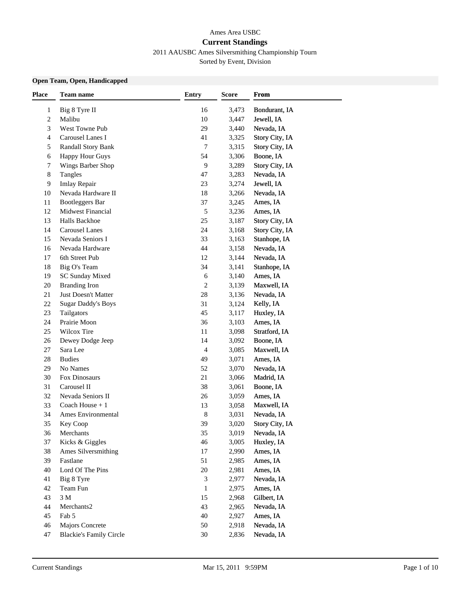# Ames Area USBC **Current Standings**

2011 AAUSBC Ames Silversmithing Championship Tourn

Sorted by Event, Division

### **Open Team, Open, Handicapped**

| <b>Place</b> | <b>Team name</b>               | <b>Entry</b>   | <b>Score</b> | From           |  |
|--------------|--------------------------------|----------------|--------------|----------------|--|
| 1            | Big 8 Tyre II                  | 16             | 3,473        | Bondurant, IA  |  |
| 2            | Malibu                         | 10             | 3,447        | Jewell, IA     |  |
| 3            | West Towne Pub                 | 29             | 3,440        | Nevada, IA     |  |
| 4            | Carousel Lanes I               | 41             | 3,325        | Story City, IA |  |
| 5            | Randall Story Bank             | 7              | 3,315        | Story City, IA |  |
| 6            | <b>Happy Hour Guys</b>         | 54             | 3,306        | Boone, IA      |  |
| 7            | Wings Barber Shop              | 9              | 3,289        | Story City, IA |  |
| 8            | Tangles                        | 47             | 3,283        | Nevada, IA     |  |
| 9            | Imlay Repair                   | 23             | 3,274        | Jewell, IA     |  |
| 10           | Nevada Hardware II             | 18             | 3,266        | Nevada, IA     |  |
| 11           | Bootleggers Bar                | 37             | 3,245        | Ames, IA       |  |
| 12           | Midwest Financial              | 5              | 3,236        | Ames, IA       |  |
| 13           | Halls Backhoe                  | 25             | 3,187        | Story City, IA |  |
| 14           | <b>Carousel Lanes</b>          | 24             | 3,168        | Story City, IA |  |
| 15           | Nevada Seniors I               | 33             | 3,163        | Stanhope, IA   |  |
| 16           | Nevada Hardware                | 44             | 3,158        | Nevada, IA     |  |
| 17           | 6th Street Pub                 | 12             | 3,144        | Nevada, IA     |  |
| 18           | Big O's Team                   | 34             | 3,141        | Stanhope, IA   |  |
| 19           | <b>SC Sunday Mixed</b>         | $\sqrt{6}$     | 3,140        | Ames, IA       |  |
| 20           | <b>Branding Iron</b>           | $\overline{c}$ | 3,139        | Maxwell, IA    |  |
| 21           | Just Doesn't Matter            | 28             | 3,136        | Nevada, IA     |  |
| 22           | <b>Sugar Daddy's Boys</b>      | 31             | 3,124        | Kelly, IA      |  |
| 23           | Tailgators                     | 45             | 3,117        | Huxley, IA     |  |
| 24           | Prairie Moon                   | 36             | 3,103        | Ames, IA       |  |
| 25           | Wilcox Tire                    | 11             | 3,098        | Stratford, IA  |  |
| 26           | Dewey Dodge Jeep               | 14             | 3,092        | Boone, IA      |  |
| 27           | Sara Lee                       | $\overline{4}$ | 3,085        | Maxwell, IA    |  |
| 28           | <b>Budies</b>                  | 49             | 3,071        | Ames, IA       |  |
| 29           | No Names                       | 52             | 3,070        | Nevada, IA     |  |
| 30           | Fox Dinosaurs                  | 21             | 3,066        | Madrid, IA     |  |
| 31           | Carousel II                    | 38             | 3,061        | Boone, IA      |  |
| 32           | Nevada Seniors II              | 26             | 3,059        | Ames, IA       |  |
| 33           | Coach House $+1$               | 13             | 3,058        | Maxwell, IA    |  |
| 34           | Ames Environmental             | 8              | 3,031        | Nevada, IA     |  |
| 35           | Key Coop                       | 39             | 3,020        | Story City, IA |  |
| 36           | Merchants                      | 35             | 3.019        | Nevada. IA     |  |
| 37           | Kicks & Giggles                | 46             | 3,005        | Huxley, IA     |  |
| 38           | Ames Silversmithing            | $17\,$         | 2,990        | Ames, IA       |  |
| 39           | Fastlane                       | 51             | 2,985        | Ames, IA       |  |
| 40           | Lord Of The Pins               | $20\,$         | 2,981        | Ames, IA       |  |
| 41           | Big 8 Tyre                     | 3              | 2,977        | Nevada, IA     |  |
| 42           | Team Fun                       | 1              | 2,975        | Ames, IA       |  |
| 43           | $3\ \mathrm{M}$                | 15             | 2,968        | Gilbert, IA    |  |
| 44           | Merchants2                     | 43             | 2,965        | Nevada, IA     |  |
| 45           | Fab 5                          | 40             | 2,927        | Ames, IA       |  |
| 46           | <b>Majors Concrete</b>         | 50             | 2,918        | Nevada, IA     |  |
| 47           | <b>Blackie's Family Circle</b> | 30             | 2,836        | Nevada, IA     |  |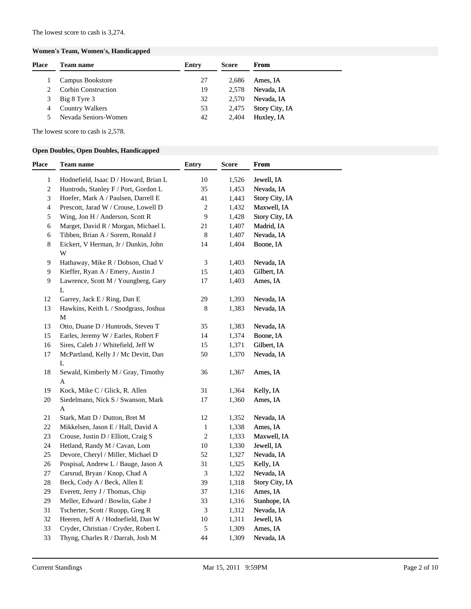#### **Women's Team, Women's, Handicapped**

| Team name                  | Entry | <b>Score</b> | From                  |
|----------------------------|-------|--------------|-----------------------|
| Campus Bookstore           | 27    | 2.686        | Ames, IA              |
| <b>Corbin Construction</b> | 19    | 2.578        | Nevada, IA            |
| Big 8 Tyre 3               | 32    | 2.570        | Nevada, IA            |
| <b>Country Walkers</b>     | 53    | 2,475        | <b>Story City, IA</b> |
| Nevada Seniors-Women       | 42    | 2.404        | Huxley, IA            |
|                            |       |              |                       |

The lowest score to cash is 2,578.

#### **Open Doubles, Open Doubles, Handicapped**

| Place          | Team name                                 | <b>Entry</b> | <b>Score</b> | From           |
|----------------|-------------------------------------------|--------------|--------------|----------------|
| 1              | Hodnefield, Isaac D / Howard, Brian L     | 10           | 1,526        | Jewell, IA     |
| $\sqrt{2}$     | Huntrods, Stanley F / Port, Gordon L      | 35           | 1,453        | Nevada, IA     |
| 3              | Hoefer, Mark A / Paulsen, Darrell E       | 41           | 1,443        | Story City, IA |
| $\overline{4}$ | Prescott, Jarad W / Crouse, Lowell D      | $\sqrt{2}$   | 1,432        | Maxwell, IA    |
| $\sqrt{5}$     | Wing, Jon H / Anderson, Scott R           | 9            | 1,428        | Story City, IA |
| 6              | Marget, David R / Morgan, Michael L       | $21\,$       | 1,407        | Madrid, IA     |
| 6              | Tibben, Brian A / Sorem, Ronald J         | $\,8\,$      | 1,407        | Nevada, IA     |
| 8              | Eickert, V Herman, Jr / Dunkin, John<br>W | 14           | 1,404        | Boone, IA      |
| 9              | Hathaway, Mike R / Dobson, Chad V         | 3            | 1,403        | Nevada, IA     |
| 9              | Kieffer, Ryan A / Emery, Austin J         | 15           | 1,403        | Gilbert, IA    |
| 9              | Lawrence, Scott M / Youngberg, Gary<br>L  | 17           | 1,403        | Ames, IA       |
| 12             | Garrey, Jack E / Ring, Dan E              | 29           | 1,393        | Nevada, IA     |
| 13             | Hawkins, Keith L / Snodgrass, Joshua<br>М | 8            | 1,383        | Nevada, IA     |
| 13             | Otto, Duane D / Huntrods, Steven T        | 35           | 1,383        | Nevada, IA     |
| 15             | Earles, Jeremy W / Earles, Robert F       | 14           | 1,374        | Boone, IA      |
| 16             | Sires, Caleb J / Whitefield, Jeff W       | 15           | 1,371        | Gilbert, IA    |
| 17             | McPartland, Kelly J / Mc Devitt, Dan      | 50           | 1,370        | Nevada, IA     |
|                | L                                         |              |              |                |
| 18             | Sewald, Kimberly M / Gray, Timothy<br>A   | 36           | 1,367        | Ames, IA       |
| 19             | Kock, Mike C / Glick, R. Allen            | 31           | 1,364        | Kelly, IA      |
| 20             | Siedelmann, Nick S / Swanson, Mark        | 17           | 1,360        | Ames, IA       |
|                | A                                         |              |              |                |
| 21             | Stark, Matt D / Dutton, Bret M            | 12           | 1,352        | Nevada, IA     |
| 22             | Mikkelsen, Jason E / Hall, David A        | $\mathbf{1}$ | 1,338        | Ames, IA       |
| $23\,$         | Crouse, Justin D / Elliott, Craig S       | $\sqrt{2}$   | 1,333        | Maxwell, IA    |
| 24             | Hetland, Randy M / Cavan, Lom             | $10\,$       | 1,330        | Jewell, IA     |
| 25             | Devore, Cheryl / Miller, Michael D        | 52           | 1,327        | Nevada, IA     |
| 26             | Pospisal, Andrew L / Bauge, Jason A       | 31           | 1,325        | Kelly, IA      |
| 27             | Carsrud, Bryan / Knop, Chad A             | $\sqrt{3}$   | 1,322        | Nevada, IA     |
| 28             | Beck, Cody A / Beck, Allen E              | 39           | 1,318        | Story City, IA |
| 29             | Everett, Jerry J / Thomas, Chip           | 37           | 1,316        | Ames, IA       |
| 29             | Meller, Edward / Bowlin, Gabe J           | 33           | 1,316        | Stanhope, IA   |
| 31             | Tscherter, Scott / Ruopp, Greg R          | 3            | 1,312        | Nevada, IA     |
| 32             | Heeren, Jeff A / Hodnefield, Dan W        | $10\,$       | 1,311        | Jewell, IA     |
| 33             | Cryder, Christian / Cryder, Robert L      | $\sqrt{5}$   | 1,309        | Ames, IA       |
| 33             | Thyng, Charles R / Darrah, Josh M         | 44           | 1,309        | Nevada, IA     |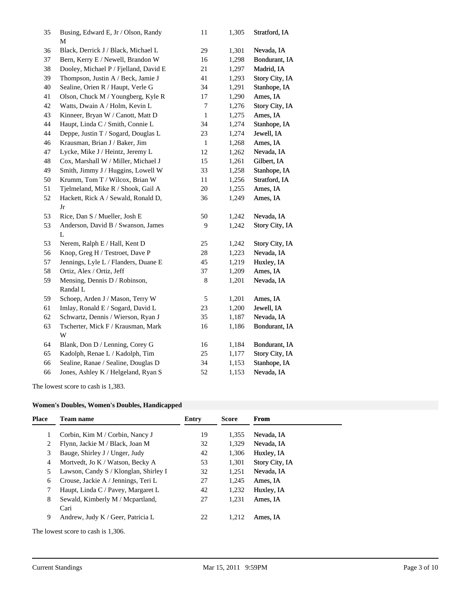| 35 | Busing, Edward E, Jr / Olson, Randy<br>М | 11           | 1,305 | Stratford, IA  |
|----|------------------------------------------|--------------|-------|----------------|
| 36 | Black, Derrick J / Black, Michael L      | 29           | 1,301 | Nevada, IA     |
| 37 | Bern, Kerry E / Newell, Brandon W        | 16           | 1,298 | Bondurant, IA  |
| 38 | Dooley, Michael P / Fjelland, David E    | 21           | 1,297 | Madrid, IA     |
| 39 | Thompson, Justin A / Beck, Jamie J       | 41           | 1,293 | Story City, IA |
| 40 | Sealine, Orien R / Haupt, Verle G        | 34           | 1,291 | Stanhope, IA   |
| 41 | Olson, Chuck M / Youngberg, Kyle R       | 17           | 1,290 | Ames, IA       |
| 42 | Watts, Dwain A / Holm, Kevin L           | 7            | 1,276 | Story City, IA |
| 43 | Kinneer, Bryan W / Canott, Matt D        | $\,1$        | 1,275 | Ames, IA       |
| 44 | Haupt, Linda C / Smith, Connie L         | 34           | 1,274 | Stanhope, IA   |
| 44 | Deppe, Justin T / Sogard, Douglas L      | 23           | 1,274 | Jewell, IA     |
| 46 | Krausman, Brian J / Baker, Jim           | $\mathbf{1}$ | 1,268 | Ames, IA       |
| 47 | Lycke, Mike J / Heintz, Jeremy L         | 12           | 1,262 | Nevada, IA     |
| 48 | Cox, Marshall W / Miller, Michael J      | 15           | 1,261 | Gilbert, IA    |
| 49 | Smith, Jimmy J / Huggins, Lowell W       | 33           | 1,258 | Stanhope, IA   |
| 50 | Krumm, Tom T / Wilcox, Brian W           | $11\,$       | 1,256 | Stratford, IA  |
| 51 | Tjelmeland, Mike R / Shook, Gail A       | $20\,$       | 1,255 | Ames, IA       |
| 52 | Hackett, Rick A / Sewald, Ronald D,      | 36           | 1,249 | Ames, IA       |
|    | Jr                                       |              |       |                |
| 53 | Rice, Dan S / Mueller, Josh E            | 50           | 1,242 | Nevada, IA     |
| 53 | Anderson, David B / Swanson, James       | 9            | 1,242 | Story City, IA |
|    | L                                        |              |       |                |
| 53 | Nerem, Ralph E / Hall, Kent D            | 25           | 1,242 | Story City, IA |
| 56 | Knop, Greg H / Testroet, Dave P          | 28           | 1,223 | Nevada, IA     |
| 57 | Jennings, Lyle L / Flanders, Duane E     | 45           | 1,219 | Huxley, IA     |
| 58 | Ortiz, Alex / Ortiz, Jeff                | 37           | 1,209 | Ames, IA       |
| 59 | Mensing, Dennis D / Robinson,            | 8            | 1,201 | Nevada, IA     |
|    | Randal L                                 |              |       |                |
| 59 | Schoep, Arden J / Mason, Terry W         | 5            | 1,201 | Ames, IA       |
| 61 | Imlay, Ronald E / Sogard, David L        | 23           | 1,200 | Jewell, IA     |
| 62 | Schwartz, Dennis / Wierson, Ryan J       | 35           | 1,187 | Nevada, IA     |
| 63 | Tscherter, Mick F / Krausman, Mark<br>W  | 16           | 1,186 | Bondurant, IA  |
| 64 | Blank, Don D / Lenning, Corey G          | 16           | 1,184 | Bondurant, IA  |
| 65 | Kadolph, Renae L / Kadolph, Tim          | $25\,$       | 1,177 | Story City, IA |
| 66 | Sealine, Ranae / Sealine, Douglas D      | 34           | 1,153 | Stanhope, IA   |
| 66 | Jones, Ashley K / Helgeland, Ryan S      | 52           | 1,153 | Nevada, IA     |
|    |                                          |              |       |                |

The lowest score to cash is 1,383.

### **Women's Doubles, Women's Doubles, Handicapped**

| Place | <b>Team name</b>                         | Entry | <b>Score</b> | From                  |
|-------|------------------------------------------|-------|--------------|-----------------------|
|       | Corbin, Kim M / Corbin, Nancy J          | 19    | 1,355        | Nevada, IA            |
| 2     | Flynn, Jackie M / Black, Joan M          | 32    | 1,329        | Nevada, IA            |
| 3     | Bauge, Shirley J / Unger, Judy           | 42    | 1,306        | Huxley, IA            |
| 4     | Mortvedt, Jo K / Watson, Becky A         | 53    | 1,301        | <b>Story City, IA</b> |
| 5     | Lawson, Candy S / Klonglan, Shirley I    | 32    | 1,251        | Nevada, IA            |
| 6     | Crouse, Jackie A / Jennings, Teri L      | 27    | 1,245        | Ames, IA              |
|       | Haupt, Linda C / Pavey, Margaret L       | 42    | 1,232        | Huxley, IA            |
| 8     | Sewald, Kimberly M / Mcpartland,<br>Cari | 27    | 1.231        | Ames, IA              |
| 9     | Andrew, Judy K / Geer, Patricia L        | 22    | 1.212        | Ames. IA              |
|       |                                          |       |              |                       |

The lowest score to cash is 1,306.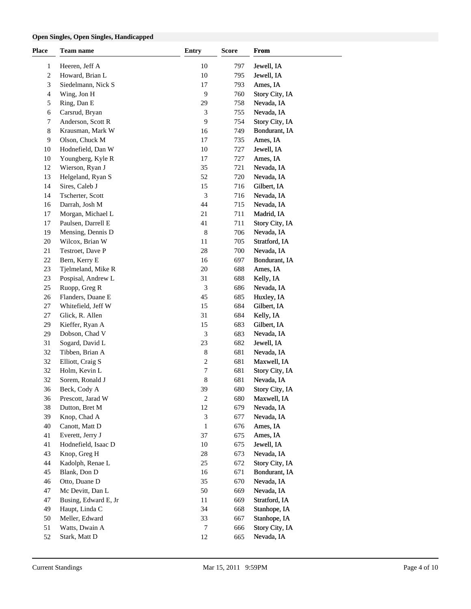#### **Open Singles, Open Singles, Handicapped**

| <b>Place</b> | Team name            | <b>Entry</b>     | <b>Score</b> | From           |  |
|--------------|----------------------|------------------|--------------|----------------|--|
| 1            | Heeren, Jeff A       | 10               | 797          | Jewell, IA     |  |
| $\sqrt{2}$   | Howard, Brian L      | 10               | 795          | Jewell, IA     |  |
| 3            | Siedelmann, Nick S   | 17               | 793          | Ames, IA       |  |
| 4            | Wing, Jon H          | 9                | 760          | Story City, IA |  |
| 5            | Ring, Dan E          | 29               | 758          | Nevada, IA     |  |
| 6            | Carsrud, Bryan       | 3                | 755          | Nevada, IA     |  |
| 7            | Anderson, Scott R    | 9                | 754          | Story City, IA |  |
| 8            | Krausman, Mark W     | 16               | 749          | Bondurant, IA  |  |
| 9            | Olson, Chuck M       | 17               | 735          | Ames, IA       |  |
| 10           | Hodnefield, Dan W    | 10               | 727          | Jewell, IA     |  |
| 10           | Youngberg, Kyle R    | 17               | 727          | Ames, IA       |  |
| 12           | Wierson, Ryan J      | 35               | 721          | Nevada, IA     |  |
| 13           | Helgeland, Ryan S    | 52               | 720          | Nevada, IA     |  |
| 14           | Sires, Caleb J       | 15               | 716          | Gilbert, IA    |  |
| 14           | Tscherter, Scott     | 3                | 716          | Nevada, IA     |  |
| 16           | Darrah, Josh M       | 44               | 715          | Nevada, IA     |  |
| 17           | Morgan, Michael L    | 21               | 711          | Madrid, IA     |  |
| 17           | Paulsen, Darrell E   | 41               | 711          | Story City, IA |  |
| 19           | Mensing, Dennis D    | $\,8$            | 706          | Nevada, IA     |  |
| 20           | Wilcox, Brian W      | 11               | 705          | Stratford, IA  |  |
| 21           | Testroet, Dave P     | $28\,$           | 700          | Nevada, IA     |  |
| $22\,$       | Bern, Kerry E        | 16               | 697          | Bondurant, IA  |  |
| 23           | Tjelmeland, Mike R   | 20               | 688          | Ames, IA       |  |
| 23           | Pospisal, Andrew L   | 31               | 688          | Kelly, IA      |  |
| $25\,$       | Ruopp, Greg R        | 3                | 686          | Nevada, IA     |  |
| $26\,$       | Flanders, Duane E    | 45               | 685          | Huxley, IA     |  |
| 27           | Whitefield, Jeff W   | 15               | 684          | Gilbert, IA    |  |
| 27           | Glick, R. Allen      | 31               | 684          | Kelly, IA      |  |
| 29           | Kieffer, Ryan A      | 15               | 683          | Gilbert, IA    |  |
| 29           | Dobson, Chad V       | 3                | 683          | Nevada, IA     |  |
| 31           | Sogard, David L      | 23               | 682          | Jewell, IA     |  |
| 32           | Tibben, Brian A      | $\,8\,$          | 681          | Nevada, IA     |  |
| 32           | Elliott, Craig S     | $\boldsymbol{2}$ | 681          | Maxwell, IA    |  |
| 32           | Holm, Kevin L        | 7                | 681          | Story City, IA |  |
| 32           | Sorem, Ronald J      | 8                | 681          | Nevada, IA     |  |
| 36           | Beck, Cody A         | 39               | 680          | Story City, IA |  |
| 36           | Prescott, Jarad W    | $\overline{c}$   | 680          | Maxwell, IA    |  |
| 38           | Dutton, Bret M       | 12               | 679          | Nevada, IA     |  |
| 39           | Knop, Chad A         | 3                | 677          | Nevada, IA     |  |
| 40           | Canott, Matt D       | 1                | 676          | Ames, IA       |  |
| 41           | Everett, Jerry J     | 37               | 675          | Ames, IA       |  |
| 41           | Hodnefield, Isaac D  | 10               | 675          | Jewell, IA     |  |
| 43           | Knop, Greg H         | $28\,$           | 673          | Nevada, IA     |  |
| 44           | Kadolph, Renae L     | 25               | 672          | Story City, IA |  |
| 45           | Blank, Don D         | 16               | 671          | Bondurant, IA  |  |
| 46           | Otto, Duane D        | 35               | 670          | Nevada, IA     |  |
| 47           | Mc Devitt, Dan L     | 50               | 669          | Nevada, IA     |  |
| 47           | Busing, Edward E, Jr | 11               | 669          | Stratford, IA  |  |
| 49           | Haupt, Linda C       | 34               | 668          | Stanhope, IA   |  |
| 50           | Meller, Edward       | 33               | 667          | Stanhope, IA   |  |
| 51           | Watts, Dwain A       | 7                | 666          | Story City, IA |  |
| 52           | Stark, Matt D        | 12               | 665          | Nevada, IA     |  |
|              |                      |                  |              |                |  |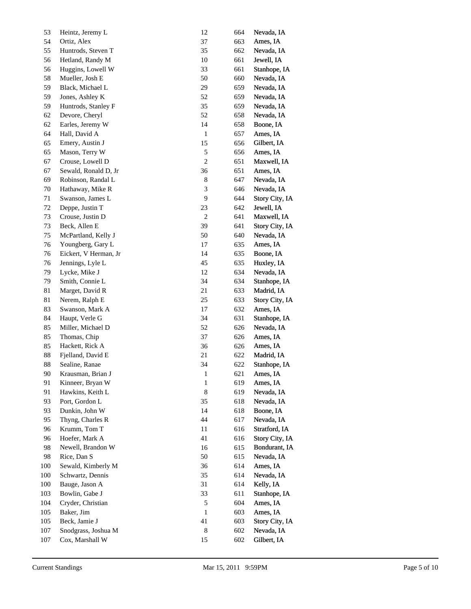| 53     | Heintz, Jeremy L      | 12               | 664 | Nevada, IA     |
|--------|-----------------------|------------------|-----|----------------|
| 54     | Ortiz, Alex           | 37               | 663 | Ames, IA       |
| 55     | Huntrods, Steven T    | 35               | 662 | Nevada, IA     |
| 56     | Hetland, Randy M      | $10\,$           | 661 | Jewell, IA     |
| 56     | Huggins, Lowell W     | 33               | 661 | Stanhope, IA   |
| 58     | Mueller, Josh E       | 50               | 660 | Nevada, IA     |
| 59     | Black, Michael L      | 29               | 659 | Nevada, IA     |
| 59     | Jones, Ashley K       | 52               | 659 | Nevada, IA     |
| 59     | Huntrods, Stanley F   | 35               | 659 | Nevada, IA     |
| 62     | Devore, Cheryl        | 52               | 658 | Nevada, IA     |
| 62     | Earles, Jeremy W      | 14               | 658 | Boone, IA      |
| 64     | Hall, David A         | $\mathbf{1}$     | 657 | Ames, IA       |
| 65     | Emery, Austin J       | 15               | 656 | Gilbert, IA    |
| 65     | Mason, Terry W        | $\sqrt{5}$       | 656 | Ames, IA       |
| 67     | Crouse, Lowell D      | 2                | 651 | Maxwell, IA    |
| 67     | Sewald, Ronald D, Jr  | 36               | 651 | Ames, IA       |
| 69     | Robinson, Randal L    | $\,$ 8 $\,$      | 647 | Nevada, IA     |
| 70     | Hathaway, Mike R      | 3                | 646 | Nevada, IA     |
| 71     | Swanson, James L      | 9                | 644 | Story City, IA |
| $72\,$ | Deppe, Justin T       | 23               | 642 | Jewell, IA     |
| 73     | Crouse, Justin D      | $\boldsymbol{2}$ | 641 | Maxwell, IA    |
| 73     | Beck, Allen E         | 39               | 641 | Story City, IA |
| 75     | McPartland, Kelly J   | 50               | 640 | Nevada, IA     |
| 76     | Youngberg, Gary L     | $17\,$           | 635 | Ames, IA       |
| 76     | Eickert, V Herman, Jr | 14               | 635 | Boone, IA      |
| 76     | Jennings, Lyle L      | 45               | 635 | Huxley, IA     |
| 79     | Lycke, Mike J         | $12\,$           | 634 | Nevada, IA     |
| 79     | Smith, Connie L       | 34               | 634 | Stanhope, IA   |
| 81     | Marget, David R       | 21               | 633 | Madrid, IA     |
| 81     | Nerem, Ralph E        | $25\,$           | 633 | Story City, IA |
| 83     | Swanson, Mark A       | 17               | 632 | Ames, IA       |
| 84     | Haupt, Verle G        | 34               | 631 | Stanhope, IA   |
| 85     | Miller, Michael D     | 52               | 626 | Nevada, IA     |
| 85     | Thomas, Chip          | 37               | 626 | Ames, IA       |
| 85     | Hackett, Rick A       | 36               | 626 | Ames, IA       |
| $88\,$ | Fjelland, David E     | 21               | 622 | Madrid, IA     |
| 88     | Sealine, Ranae        | 34               | 622 | Stanhope, IA   |
| $90\,$ | Krausman, Brian J     | $\mathbf{I}$     | 621 | Ames, IA       |
| 91     | Kinneer, Bryan W      | $\mathbf{1}$     | 619 | Ames, IA       |
| 91     | Hawkins, Keith L      | $\,8\,$          | 619 | Nevada, IA     |
| 93     | Port, Gordon L        | 35               | 618 | Nevada, IA     |
| 93     | Dunkin, John W        | 14               | 618 | Boone, IA      |
| 95     | Thyng, Charles R      | 44               | 617 | Nevada, IA     |
| 96     | Krumm, Tom T          | 11               | 616 | Stratford, IA  |
| 96     | Hoefer, Mark A        | 41               | 616 | Story City, IA |
| 98     | Newell, Brandon W     | 16               | 615 | Bondurant, IA  |
| 98     | Rice, Dan S           | 50               | 615 | Nevada, IA     |
| 100    | Sewald, Kimberly M    | 36               | 614 | Ames, IA       |
| 100    | Schwartz, Dennis      | 35               | 614 | Nevada, IA     |
| 100    | Bauge, Jason A        | 31               | 614 | Kelly, IA      |
| 103    | Bowlin, Gabe J        | 33               | 611 | Stanhope, IA   |
| 104    | Cryder, Christian     | $\mathfrak s$    | 604 | Ames, IA       |
| 105    | Baker, Jim            | $\mathbf{1}$     | 603 | Ames, IA       |
| 105    | Beck, Jamie J         | 41               | 603 | Story City, IA |
| 107    | Snodgrass, Joshua M   | $\,8\,$          | 602 | Nevada, IA     |
| 107    | Cox, Marshall W       | 15               | 602 | Gilbert, IA    |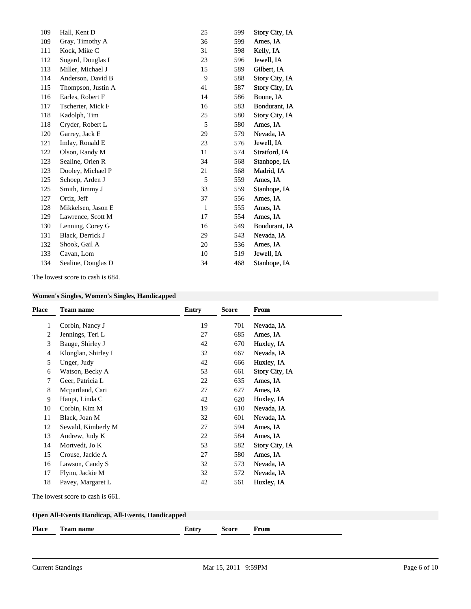| 109 | Hall, Kent D       | 25           | 599 | Story City, IA |
|-----|--------------------|--------------|-----|----------------|
| 109 | Gray, Timothy A    | 36           | 599 | Ames, IA       |
| 111 | Kock, Mike C       | 31           | 598 | Kelly, IA      |
| 112 | Sogard, Douglas L  | 23           | 596 | Jewell, IA     |
| 113 | Miller, Michael J  | 15           | 589 | Gilbert, IA    |
| 114 | Anderson, David B  | 9            | 588 | Story City, IA |
| 115 | Thompson, Justin A | 41           | 587 | Story City, IA |
| 116 | Earles, Robert F   | 14           | 586 | Boone, IA      |
| 117 | Tscherter, Mick F  | 16           | 583 | Bondurant, IA  |
| 118 | Kadolph, Tim       | 25           | 580 | Story City, IA |
| 118 | Cryder, Robert L   | 5            | 580 | Ames, IA       |
| 120 | Garrey, Jack E     | 29           | 579 | Nevada, IA     |
| 121 | Imlay, Ronald E    | 23           | 576 | Jewell, IA     |
| 122 | Olson, Randy M     | 11           | 574 | Stratford, IA  |
| 123 | Sealine, Orien R   | 34           | 568 | Stanhope, IA   |
| 123 | Dooley, Michael P  | 21           | 568 | Madrid, IA     |
| 125 | Schoep, Arden J    | 5            | 559 | Ames, IA       |
| 125 | Smith, Jimmy J     | 33           | 559 | Stanhope, IA   |
| 127 | Ortiz, Jeff        | 37           | 556 | Ames, IA       |
| 128 | Mikkelsen, Jason E | $\mathbf{1}$ | 555 | Ames, IA       |
| 129 | Lawrence, Scott M  | 17           | 554 | Ames, IA       |
| 130 | Lenning, Corey G   | 16           | 549 | Bondurant, IA  |
| 131 | Black, Derrick J   | 29           | 543 | Nevada, IA     |
| 132 | Shook, Gail A      | 20           | 536 | Ames, IA       |
| 133 | Cavan, Lom         | 10           | 519 | Jewell, IA     |
| 134 | Sealine, Douglas D | 34           | 468 | Stanhope, IA   |
|     |                    |              |     |                |

The lowest score to cash is 684.

# **Women's Singles, Women's Singles, Handicapped**

| <b>Place</b> | <b>Team name</b>    | <b>Entry</b> | <b>Score</b> | <b>From</b>    |
|--------------|---------------------|--------------|--------------|----------------|
| 1            | Corbin, Nancy J     | 19           | 701          | Nevada, IA     |
| 2            | Jennings, Teri L    | 27           | 685          | Ames, IA       |
| 3            | Bauge, Shirley J    | 42           | 670          | Huxley, IA     |
| 4            | Klonglan, Shirley I | 32           | 667          | Nevada, IA     |
| 5            | Unger, Judy         | 42           | 666          | Huxley, IA     |
| 6            | Watson, Becky A     | 53           | 661          | Story City, IA |
| 7            | Geer, Patricia L    | 22           | 635          | Ames, IA       |
| 8            | Mepartland, Cari    | 27           | 627          | Ames, IA       |
| 9            | Haupt, Linda C      | 42           | 620          | Huxley, IA     |
| 10           | Corbin, Kim M       | 19           | 610          | Nevada, IA     |
| 11           | Black, Joan M       | 32           | 601          | Nevada, IA     |
| 12           | Sewald, Kimberly M  | 27           | 594          | Ames, IA       |
| 13           | Andrew, Judy K      | 22           | 584          | Ames, IA       |
| 14           | Mortvedt, Jo K      | 53           | 582          | Story City, IA |
| 15           | Crouse, Jackie A    | 27           | 580          | Ames, IA       |
| 16           | Lawson, Candy S     | 32           | 573          | Nevada, IA     |
| 17           | Flynn, Jackie M     | 32           | 572          | Nevada, IA     |
| 18           | Pavey, Margaret L   | 42           | 561          | Huxley, IA     |

The lowest score to cash is 661.

| <b>Place</b> | <b>CONTRACTOR</b><br>Team name | <b>Entry</b> | Score | From |
|--------------|--------------------------------|--------------|-------|------|
|              |                                |              |       |      |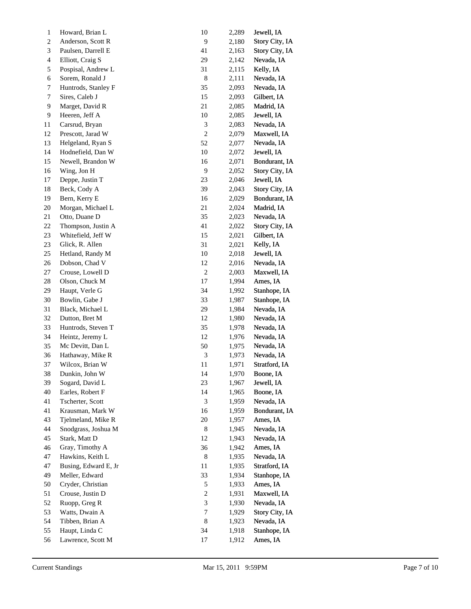| 1              | Howard, Brian L      | 10                          | 2,289 | Jewell, IA     |
|----------------|----------------------|-----------------------------|-------|----------------|
| 2              | Anderson, Scott R    | $\overline{9}$              | 2,180 | Story City, IA |
| 3              | Paulsen, Darrell E   | $41\,$                      | 2,163 | Story City, IA |
| $\overline{4}$ | Elliott, Craig S     | 29                          | 2,142 | Nevada, IA     |
| 5              | Pospisal, Andrew L   | 31                          | 2,115 | Kelly, IA      |
| 6              | Sorem, Ronald J      | $\,$ 8 $\,$                 | 2,111 | Nevada, IA     |
| 7              | Huntrods, Stanley F  | 35                          | 2,093 | Nevada, IA     |
| 7              | Sires, Caleb J       | 15                          | 2,093 | Gilbert, IA    |
| 9              | Marget, David R      | $21\,$                      | 2,085 | Madrid, IA     |
| 9              | Heeren, Jeff A       | 10                          | 2,085 | Jewell, IA     |
| 11             | Carsrud, Bryan       | $\sqrt{3}$                  | 2,083 | Nevada, IA     |
| 12             | Prescott, Jarad W    | $\sqrt{2}$                  | 2,079 | Maxwell, IA    |
| 13             | Helgeland, Ryan S    | 52                          | 2,077 | Nevada, IA     |
| 14             | Hodnefield, Dan W    | $10\,$                      | 2,072 | Jewell, IA     |
| 15             | Newell, Brandon W    | 16                          | 2,071 | Bondurant, IA  |
| 16             | Wing, Jon H          | $\overline{9}$              | 2,052 | Story City, IA |
| 17             | Deppe, Justin T      | $23\,$                      | 2,046 | Jewell, IA     |
| 18             | Beck, Cody A         | 39                          | 2,043 | Story City, IA |
| 19             | Bern, Kerry E        | 16                          | 2,029 | Bondurant, IA  |
| 20             | Morgan, Michael L    | $21\,$                      | 2,024 | Madrid, IA     |
| 21             | Otto, Duane D        | 35                          | 2,023 | Nevada, IA     |
| 22             | Thompson, Justin A   | 41                          | 2,022 | Story City, IA |
| 23             | Whitefield, Jeff W   | 15                          | 2,021 | Gilbert, IA    |
| 23             | Glick, R. Allen      | 31                          | 2,021 | Kelly, IA      |
| 25             | Hetland, Randy M     | $10\,$                      | 2,018 | Jewell, IA     |
| 26             | Dobson, Chad V       | 12                          | 2,016 | Nevada, IA     |
| 27             | Crouse, Lowell D     | $\sqrt{2}$                  | 2,003 | Maxwell, IA    |
| 28             | Olson, Chuck M       | $17\,$                      | 1,994 | Ames, IA       |
| 29             | Haupt, Verle G       | 34                          | 1,992 | Stanhope, IA   |
| 30             | Bowlin, Gabe J       | 33                          | 1,987 | Stanhope, IA   |
| 31             | Black, Michael L     | 29                          | 1,984 | Nevada, IA     |
| 32             | Dutton, Bret M       | 12                          | 1,980 | Nevada, IA     |
| 33             | Huntrods, Steven T   | 35                          | 1,978 | Nevada, IA     |
| 34             | Heintz, Jeremy L     | 12                          | 1,976 | Nevada, IA     |
| 35             | Mc Devitt, Dan L     | 50                          | 1,975 | Nevada, IA     |
| 36             | Hathaway, Mike R     | $\ensuremath{\mathfrak{Z}}$ | 1,973 | Nevada, IA     |
| 37             | Wilcox, Brian W      | $11\,$                      | 1,971 | Stratford, IA  |
| 38             | Dunkin, John W       | 14                          | 1,970 | Boone, IA      |
| 39             | Sogard, David L      | 23                          | 1,967 | Jewell, IA     |
| 40             | Earles, Robert F     | 14                          | 1,965 | Boone, IA      |
| 41             | Tscherter, Scott     | $\ensuremath{\mathfrak{Z}}$ | 1,959 | Nevada, IA     |
| 41             | Krausman, Mark W     | 16                          | 1,959 | Bondurant, IA  |
| 43             | Tjelmeland, Mike R   | 20                          | 1,957 | Ames, IA       |
| 44             | Snodgrass, Joshua M  | $\,8\,$                     | 1,945 | Nevada, IA     |
| 45             | Stark, Matt D        | 12                          | 1,943 | Nevada, IA     |
| 46             | Gray, Timothy A      | 36                          | 1,942 | Ames, IA       |
| 47             | Hawkins, Keith L     | $\,8\,$                     | 1,935 | Nevada, IA     |
| 47             | Busing, Edward E, Jr | 11                          | 1,935 | Stratford, IA  |
| 49             | Meller, Edward       | 33                          | 1,934 | Stanhope, IA   |
| 50             | Cryder, Christian    | $\sqrt{5}$                  | 1,933 | Ames, IA       |
| 51             | Crouse, Justin D     | $\boldsymbol{2}$            | 1,931 | Maxwell, IA    |
| 52             | Ruopp, Greg R        | $\mathfrak 3$               | 1,930 | Nevada, IA     |
| 53             | Watts, Dwain A       | 7                           | 1,929 | Story City, IA |
| 54             | Tibben, Brian A      | $\,8\,$                     | 1,923 | Nevada, IA     |
| 55             | Haupt, Linda C       | 34                          | 1,918 | Stanhope, IA   |
| 56             | Lawrence, Scott M    | 17                          | 1,912 | Ames, IA       |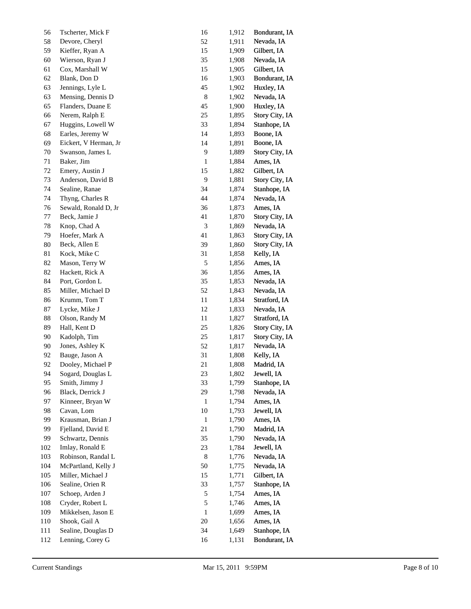| 56     | Tscherter, Mick F     | 16                          | 1,912 | Bondurant, IA  |
|--------|-----------------------|-----------------------------|-------|----------------|
| 58     | Devore, Cheryl        | 52                          | 1,911 | Nevada, IA     |
| 59     | Kieffer, Ryan A       | 15                          | 1,909 | Gilbert, IA    |
| 60     | Wierson, Ryan J       | 35                          | 1,908 | Nevada, IA     |
| 61     | Cox, Marshall W       | 15                          | 1,905 | Gilbert, IA    |
| 62     | Blank, Don D          | 16                          | 1,903 | Bondurant, IA  |
| 63     | Jennings, Lyle L      | 45                          | 1,902 | Huxley, IA     |
| 63     | Mensing, Dennis D     | $\,$ 8 $\,$                 | 1,902 | Nevada, IA     |
| 65     | Flanders, Duane E     | 45                          | 1,900 | Huxley, IA     |
| 66     | Nerem, Ralph E        | 25                          | 1,895 | Story City, IA |
| 67     | Huggins, Lowell W     | 33                          | 1,894 | Stanhope, IA   |
| 68     | Earles, Jeremy W      | 14                          | 1,893 | Boone, IA      |
| 69     | Eickert, V Herman, Jr | 14                          | 1,891 | Boone, IA      |
| 70     | Swanson, James L      | 9                           | 1,889 | Story City, IA |
| 71     | Baker, Jim            | $\mathbf{1}$                | 1,884 | Ames, IA       |
| $72\,$ | Emery, Austin J       | 15                          | 1,882 | Gilbert, IA    |
| 73     | Anderson, David B     | $\overline{9}$              | 1,881 | Story City, IA |
| 74     | Sealine, Ranae        | 34                          | 1,874 | Stanhope, IA   |
| 74     | Thyng, Charles R      | 44                          | 1,874 | Nevada, IA     |
| 76     | Sewald, Ronald D, Jr  | 36                          | 1,873 | Ames, IA       |
| 77     | Beck, Jamie J         | 41                          | 1,870 | Story City, IA |
| 78     | Knop, Chad A          | $\ensuremath{\mathfrak{Z}}$ | 1,869 | Nevada, IA     |
| 79     | Hoefer, Mark A        | 41                          | 1,863 | Story City, IA |
| 80     | Beck, Allen E         | 39                          | 1,860 | Story City, IA |
| 81     | Kock, Mike C          | 31                          | 1,858 | Kelly, IA      |
| 82     | Mason, Terry W        | $\mathfrak s$               | 1,856 | Ames, IA       |
| 82     | Hackett, Rick A       | 36                          | 1,856 | Ames, IA       |
| 84     | Port, Gordon L        | 35                          | 1,853 | Nevada, IA     |
| 85     | Miller, Michael D     | 52                          | 1,843 | Nevada, IA     |
| 86     | Krumm, Tom T          | 11                          | 1,834 | Stratford, IA  |
| $87\,$ | Lycke, Mike J         | 12                          | 1,833 | Nevada, IA     |
| $88\,$ | Olson, Randy M        | 11                          | 1,827 | Stratford, IA  |
| 89     | Hall, Kent D          | 25                          | 1,826 | Story City, IA |
| 90     | Kadolph, Tim          | 25                          | 1,817 | Story City, IA |
| 90     | Jones, Ashley K       | 52                          | 1,817 | Nevada, IA     |
| 92     | Bauge, Jason A        | 31                          | 1,808 | Kelly, IA      |
| 92     | Dooley, Michael P     | 21                          | 1,808 | Madrid, IA     |
| 94     | Sogard, Douglas L     | 23                          | 1,802 | Jewell, IA     |
| 95     | Smith, Jimmy J        | 33                          | 1,799 | Stanhope, IA   |
| 96     | Black, Derrick J      | 29                          | 1,798 | Nevada, IA     |
| 97     | Kinneer, Bryan W      | 1                           | 1,794 | Ames, IA       |
| 98     | Cavan, Lom            | 10                          | 1,793 | Jewell, IA     |
| 99     | Krausman, Brian J     | 1                           | 1,790 | Ames, IA       |
| 99     | Fjelland, David E     | 21                          | 1,790 | Madrid, IA     |
| 99     | Schwartz, Dennis      | 35                          | 1,790 | Nevada, IA     |
| 102    | Imlay, Ronald E       | 23                          | 1,784 | Jewell, IA     |
| 103    | Robinson, Randal L    | $\,8$                       | 1,776 | Nevada, IA     |
| 104    | McPartland, Kelly J   | 50                          | 1,775 | Nevada, IA     |
| 105    | Miller, Michael J     | 15                          | 1,771 | Gilbert, IA    |
| 106    | Sealine, Orien R      | 33                          | 1,757 | Stanhope, IA   |
| 107    | Schoep, Arden J       | 5                           | 1,754 | Ames, IA       |
| 108    | Cryder, Robert L      | 5                           | 1,746 | Ames, IA       |
| 109    | Mikkelsen, Jason E    | 1                           | 1,699 | Ames, IA       |
| 110    | Shook, Gail A         | 20                          | 1,656 | Ames, IA       |
| 111    | Sealine, Douglas D    | 34                          | 1,649 | Stanhope, IA   |
| 112    | Lenning, Corey G      | 16                          | 1,131 | Bondurant, IA  |
|        |                       |                             |       |                |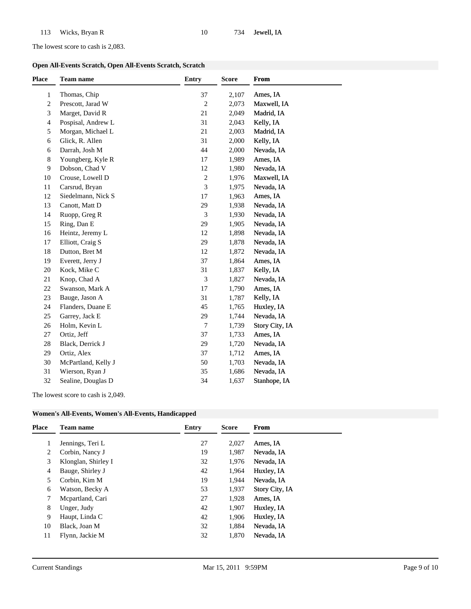The lowest score to cash is 2,083.

|  | Open All-Events Scratch, Open All-Events Scratch, Scratch |
|--|-----------------------------------------------------------|
|--|-----------------------------------------------------------|

| <b>Place</b>   | <b>Team name</b>    | <b>Entry</b>   | <b>Score</b> | From           |
|----------------|---------------------|----------------|--------------|----------------|
| 1              | Thomas, Chip        | 37             | 2,107        | Ames, IA       |
| 2              | Prescott, Jarad W   | $\overline{c}$ | 2,073        | Maxwell, IA    |
| 3              | Marget, David R     | 21             | 2,049        | Madrid, IA     |
| $\overline{4}$ | Pospisal, Andrew L  | 31             | 2,043        | Kelly, IA      |
| 5              | Morgan, Michael L   | $21\,$         | 2,003        | Madrid, IA     |
| 6              | Glick, R. Allen     | 31             | 2,000        | Kelly, IA      |
| 6              | Darrah, Josh M      | 44             | 2,000        | Nevada, IA     |
| 8              | Youngberg, Kyle R   | 17             | 1,989        | Ames, IA       |
| $\overline{9}$ | Dobson, Chad V      | 12             | 1,980        | Nevada, IA     |
| 10             | Crouse, Lowell D    | $\sqrt{2}$     | 1,976        | Maxwell, IA    |
| 11             | Carsrud, Bryan      | 3              | 1,975        | Nevada, IA     |
| 12             | Siedelmann, Nick S  | 17             | 1,963        | Ames, IA       |
| 13             | Canott, Matt D      | 29             | 1,938        | Nevada, IA     |
| 14             | Ruopp, Greg R       | 3              | 1,930        | Nevada, IA     |
| 15             | Ring, Dan E         | 29             | 1,905        | Nevada, IA     |
| 16             | Heintz, Jeremy L    | 12             | 1,898        | Nevada, IA     |
| 17             | Elliott, Craig S    | 29             | 1,878        | Nevada, IA     |
| 18             | Dutton, Bret M      | 12             | 1,872        | Nevada, IA     |
| 19             | Everett, Jerry J    | 37             | 1,864        | Ames, IA       |
| 20             | Kock, Mike C        | 31             | 1,837        | Kelly, IA      |
| 21             | Knop, Chad A        | 3              | 1,827        | Nevada, IA     |
| 22             | Swanson, Mark A     | 17             | 1,790        | Ames, IA       |
| 23             | Bauge, Jason A      | 31             | 1,787        | Kelly, IA      |
| 24             | Flanders, Duane E   | 45             | 1,765        | Huxley, IA     |
| 25             | Garrey, Jack E      | 29             | 1,744        | Nevada, IA     |
| 26             | Holm, Kevin L       | 7              | 1,739        | Story City, IA |
| 27             | Ortiz, Jeff         | 37             | 1,733        | Ames, IA       |
| 28             | Black, Derrick J    | 29             | 1,720        | Nevada, IA     |
| 29             | Ortiz, Alex         | 37             | 1,712        | Ames, IA       |
| 30             | McPartland, Kelly J | 50             | 1,703        | Nevada, IA     |
| 31             | Wierson, Ryan J     | 35             | 1,686        | Nevada, IA     |
| 32             | Sealine, Douglas D  | 34             | 1,637        | Stanhope, IA   |

The lowest score to cash is 2,049.

| <b>Place</b> | <b>Team name</b>    | Entry | <b>Score</b> | From           |
|--------------|---------------------|-------|--------------|----------------|
|              | Jennings, Teri L    | 27    | 2,027        | Ames, IA       |
| 2            | Corbin, Nancy J     | 19    | 1,987        | Nevada, IA     |
| 3            | Klonglan, Shirley I | 32    | 1,976        | Nevada, IA     |
| 4            | Bauge, Shirley J    | 42    | 1,964        | Huxley, IA     |
| 5            | Corbin, Kim M       | 19    | 1.944        | Nevada, IA     |
| 6            | Watson, Becky A     | 53    | 1,937        | Story City, IA |
| 7            | Mcpartland, Cari    | 27    | 1,928        | Ames, IA       |
| 8            | Unger, Judy         | 42    | 1,907        | Huxley, IA     |
| 9            | Haupt, Linda C      | 42    | 1,906        | Huxley, IA     |
| 10           | Black, Joan M       | 32    | 1,884        | Nevada, IA     |
| 11           | Flynn, Jackie M     | 32    | 1,870        | Nevada, IA     |